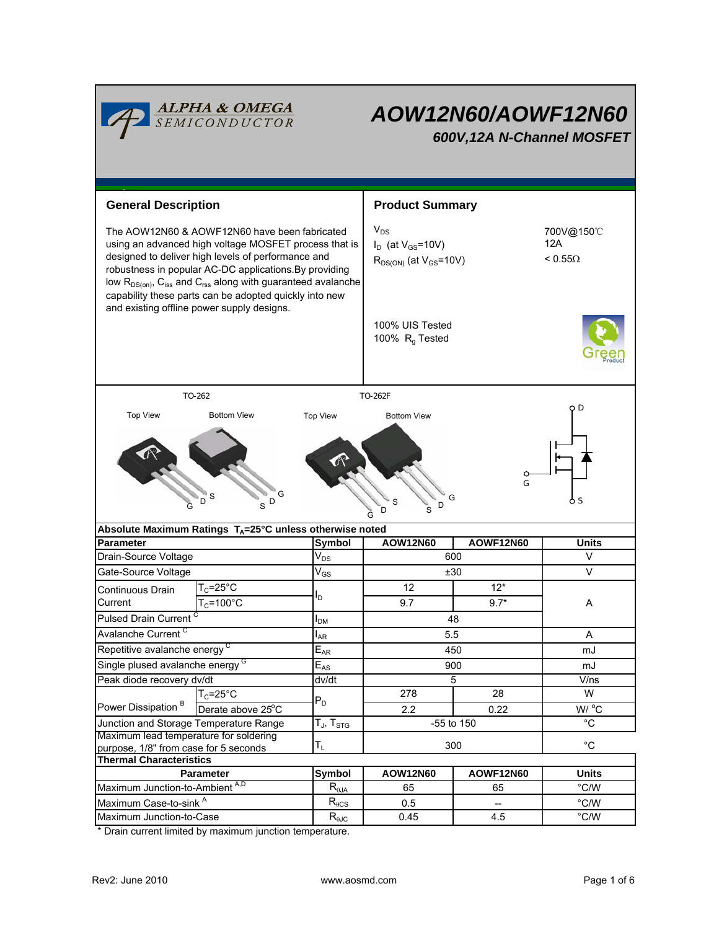| <b>ALPHA &amp; OMEGA</b><br>SEMICONDUCTOR                                                                                                                                                                                                                                                                                                                      |                                                                           |                                                                      | AOW12N60/AOWF12N60<br>600V, 12A N-Channel MOSFET                        |                                     |                                 |  |  |  |
|----------------------------------------------------------------------------------------------------------------------------------------------------------------------------------------------------------------------------------------------------------------------------------------------------------------------------------------------------------------|---------------------------------------------------------------------------|----------------------------------------------------------------------|-------------------------------------------------------------------------|-------------------------------------|---------------------------------|--|--|--|
| <b>General Description</b>                                                                                                                                                                                                                                                                                                                                     |                                                                           |                                                                      | <b>Product Summary</b>                                                  |                                     |                                 |  |  |  |
| The AOW12N60 & AOWF12N60 have been fabricated<br>using an advanced high voltage MOSFET process that is<br>designed to deliver high levels of performance and<br>robustness in popular AC-DC applications. By providing<br>low $R_{DS(on)}$ , $C_{iss}$ and $C_{rss}$ along with guaranteed avalanche<br>capability these parts can be adopted quickly into new |                                                                           |                                                                      | $V_{DS}$<br>$I_D$ (at $V_{GS}$ =10V)<br>$R_{DS(ON)}$ (at $V_{GS}$ =10V) | 700V@150°C<br>12A<br>$< 0.55\Omega$ |                                 |  |  |  |
| and existing offline power supply designs.                                                                                                                                                                                                                                                                                                                     |                                                                           |                                                                      | 100% UIS Tested<br>100% R <sub>q</sub> Tested                           |                                     |                                 |  |  |  |
| TO-262<br>TO-262F                                                                                                                                                                                                                                                                                                                                              |                                                                           |                                                                      |                                                                         |                                     |                                 |  |  |  |
| O D<br><b>Top View</b><br><b>Bottom View</b><br><b>Bottom View</b><br><b>Top View</b><br>G<br>G<br>G<br>o s<br>D<br>D<br>S<br>D<br>S<br>G<br>S<br>D<br>G                                                                                                                                                                                                       |                                                                           |                                                                      |                                                                         |                                     |                                 |  |  |  |
|                                                                                                                                                                                                                                                                                                                                                                |                                                                           |                                                                      |                                                                         |                                     |                                 |  |  |  |
|                                                                                                                                                                                                                                                                                                                                                                | Absolute Maximum Ratings $T_A = 25^\circ \text{C}$ unless otherwise noted |                                                                      |                                                                         |                                     |                                 |  |  |  |
| <b>Parameter</b>                                                                                                                                                                                                                                                                                                                                               |                                                                           | <b>Symbol</b>                                                        | <b>AOW12N60</b>                                                         | <b>AOWF12N60</b>                    | <b>Units</b>                    |  |  |  |
| Drain-Source Voltage                                                                                                                                                                                                                                                                                                                                           |                                                                           | $V_{DS}$                                                             |                                                                         | 600                                 | $\vee$                          |  |  |  |
| Gate-Source Voltage                                                                                                                                                                                                                                                                                                                                            |                                                                           | $V_{GS}$                                                             |                                                                         | ±30                                 | V                               |  |  |  |
| Continuous Drain                                                                                                                                                                                                                                                                                                                                               | $T_c = 25$ °C                                                             | ΙD                                                                   | 12                                                                      | $12*$                               |                                 |  |  |  |
| Current                                                                                                                                                                                                                                                                                                                                                        | $T_c = 100^{\circ}C$                                                      |                                                                      | 9.7                                                                     | $9.7*$                              | Α                               |  |  |  |
| Pulsed Drain Current <sup>C</sup>                                                                                                                                                                                                                                                                                                                              |                                                                           | 'DM                                                                  |                                                                         | 48                                  |                                 |  |  |  |
| Avalanche Current <sup>C</sup>                                                                                                                                                                                                                                                                                                                                 |                                                                           | l <sub>AR</sub>                                                      | 5.5                                                                     |                                     | A                               |  |  |  |
| Repetitive avalanche energy <sup>C</sup>                                                                                                                                                                                                                                                                                                                       |                                                                           | $E_{AR}$                                                             |                                                                         | 450                                 | mJ                              |  |  |  |
| Single plused avalanche energy <sup>G</sup>                                                                                                                                                                                                                                                                                                                    |                                                                           | $E_{AS}$                                                             |                                                                         | 900                                 | mJ                              |  |  |  |
| Peak diode recovery dv/dt                                                                                                                                                                                                                                                                                                                                      |                                                                           | dv/dt                                                                |                                                                         | 5                                   | V/ns<br>W                       |  |  |  |
| Power Dissipation <sup>B</sup>                                                                                                                                                                                                                                                                                                                                 | $T_C = 25$ °C                                                             | $P_D$                                                                | 278                                                                     | 28                                  |                                 |  |  |  |
| Junction and Storage Temperature Range                                                                                                                                                                                                                                                                                                                         | Derate above 25°C                                                         |                                                                      | 2.2                                                                     | 0.22<br>-55 to 150                  | W/ °C<br>$^{\circ}$ C           |  |  |  |
| Maximum lead temperature for soldering                                                                                                                                                                                                                                                                                                                         |                                                                           | $\bar{\bm{\mathsf{T}}}_{\mathsf{J}}, \bm{\mathsf{T}}_{\mathsf{STG}}$ |                                                                         |                                     |                                 |  |  |  |
| purpose, 1/8" from case for 5 seconds                                                                                                                                                                                                                                                                                                                          |                                                                           | $T_{L}$                                                              |                                                                         | 300                                 | $^{\circ}C$                     |  |  |  |
| <b>Thermal Characteristics</b>                                                                                                                                                                                                                                                                                                                                 |                                                                           |                                                                      |                                                                         |                                     |                                 |  |  |  |
|                                                                                                                                                                                                                                                                                                                                                                | Parameter                                                                 | <b>Symbol</b>                                                        | AOW12N60<br>65                                                          | <b>AOWF12N60</b><br>65              | <b>Units</b>                    |  |  |  |
| Maximum Junction-to-Ambient A,D<br>Maximum Case-to-sink A                                                                                                                                                                                                                                                                                                      |                                                                           | $R_{\theta$ JA<br>$\mathsf{R}_{\theta\text{CS}}$                     | 0.5                                                                     |                                     | $^{\circ}$ C/W<br>$\degree$ C/W |  |  |  |

\* Drain current limited by maximum junction temperature.

Г

٦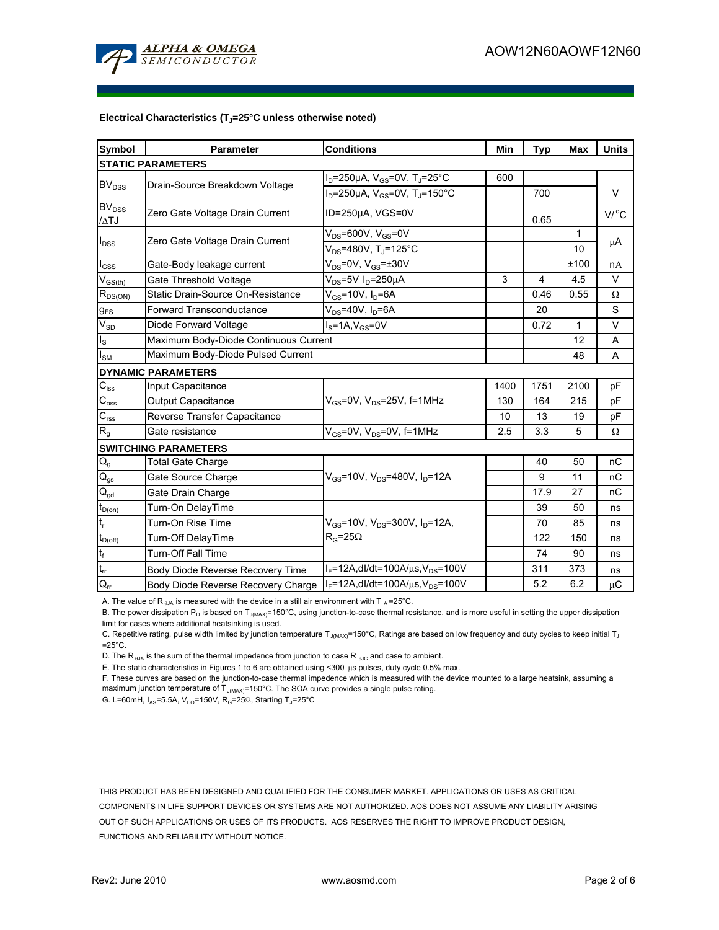

#### Electrical Characteristics (T<sub>J</sub>=25°C unless otherwise noted)

| Symbol                                  | <b>Parameter</b>                          | <b>Conditions</b>                                          | Min  | <b>Typ</b> | Max          | <b>Units</b>        |  |  |  |  |
|-----------------------------------------|-------------------------------------------|------------------------------------------------------------|------|------------|--------------|---------------------|--|--|--|--|
| <b>STATIC PARAMETERS</b>                |                                           |                                                            |      |            |              |                     |  |  |  |  |
| <b>BV<sub>DSS</sub></b>                 | Drain-Source Breakdown Voltage            | $I_D = 250 \mu A$ , $V_{GS} = 0V$ , T <sub>J</sub> =25°C   | 600  |            |              |                     |  |  |  |  |
|                                         |                                           | $I_D = 250 \mu A$ , $V_{GS} = 0V$ , T <sub>J</sub> =150°C  |      | 700        |              | V                   |  |  |  |  |
| $\overline{\mathrm{BV}}_{\mathrm{DSS}}$ | Zero Gate Voltage Drain Current           | ID=250µA, VGS=0V                                           |      |            |              | $V/$ <sup>o</sup> C |  |  |  |  |
| /ATJ                                    |                                           |                                                            |      | 0.65       |              |                     |  |  |  |  |
| $I_{DSS}$                               | Zero Gate Voltage Drain Current           | $V_{DS}$ =600V, V <sub>GS</sub> =0V                        |      |            | 1            | μA                  |  |  |  |  |
|                                         |                                           | $\overline{V_{DS}}$ =480V, T $_{\textrm{J}}$ =125°C        |      |            | 10           |                     |  |  |  |  |
| $\mathsf{I}_{\mathsf{GSS}}$             | Gate-Body leakage current                 | $V_{DS}$ =0V, $V_{GS}$ = $\pm$ 30V                         |      |            | ±100         | nA                  |  |  |  |  |
| $\mathsf{V}_{\mathsf{GS}(\mathsf{th})}$ | Gate Threshold Voltage                    | $V_{DS}$ =5V I <sub>D</sub> =250µA                         | 3    | 4          | 4.5          | V                   |  |  |  |  |
| $R_{DS(ON)}$                            | Static Drain-Source On-Resistance         | $V_{GS}$ =10V, $I_D$ =6A                                   |      | 0.46       | 0.55         | Ω                   |  |  |  |  |
| $g_{FS}$                                | <b>Forward Transconductance</b>           | $V_{DS}$ =40V, I <sub>D</sub> =6A                          |      | 20         |              | S                   |  |  |  |  |
| $V_{SD}$                                | Diode Forward Voltage                     | $IS=1A, VGS=0V$                                            |      | 0.72       | $\mathbf{1}$ | V                   |  |  |  |  |
| $\mathsf{I}_\mathsf{S}$                 | Maximum Body-Diode Continuous Current     |                                                            |      |            | 12           | A                   |  |  |  |  |
| I <sub>sм</sub>                         | Maximum Body-Diode Pulsed Current         |                                                            |      |            | 48           | A                   |  |  |  |  |
|                                         | <b>DYNAMIC PARAMETERS</b>                 |                                                            |      |            |              |                     |  |  |  |  |
| $\overline{C_{\text{iss}}}$             | Input Capacitance                         |                                                            | 1400 | 1751       | 2100         | pF                  |  |  |  |  |
| $\overline{C_{\mathrm{oss}}}$           | Output Capacitance                        | $V_{GS}$ =0V, $V_{DS}$ =25V, f=1MHz                        | 130  | 164        | 215          | pF                  |  |  |  |  |
| $\overline{C_{\rm rss}}$                | Reverse Transfer Capacitance              |                                                            | 10   | 13         | 19           | pF                  |  |  |  |  |
| $R_{\rm g}$                             | Gate resistance                           | $V_{GS}$ =0V, V <sub>DS</sub> =0V, f=1MHz                  | 2.5  | 3.3        | 5            | Ω                   |  |  |  |  |
| <b>SWITCHING PARAMETERS</b>             |                                           |                                                            |      |            |              |                     |  |  |  |  |
| $\mathsf{Q}_{\mathsf{g}}$               | <b>Total Gate Charge</b>                  |                                                            |      | 40         | 50           | nC                  |  |  |  |  |
| $\mathsf{Q}_\mathsf{gs}$                | Gate Source Charge                        | $V_{GS}$ =10V, $V_{DS}$ =480V, I <sub>D</sub> =12A         |      | 9          | 11           | nC                  |  |  |  |  |
| $\mathsf{Q}_{\mathsf{gd}}$              | Gate Drain Charge                         |                                                            |      | 17.9       | 27           | nC                  |  |  |  |  |
| $t_{D(on)}$                             | Turn-On DelayTime                         |                                                            |      | 39         | 50           | ns                  |  |  |  |  |
| t,                                      | Turn-On Rise Time                         | $V_{GS}$ =10V, V <sub>DS</sub> =300V, I <sub>D</sub> =12A, |      | 70         | 85           | ns                  |  |  |  |  |
| $t_{D{\rm (off)}}$                      | Turn-Off DelayTime                        | $R_G = 25\Omega$                                           |      | 122        | 150          | ns                  |  |  |  |  |
| t <sub>f</sub>                          | Turn-Off Fall Time                        |                                                            |      | 74         | 90           | ns                  |  |  |  |  |
| t <sub>rr</sub>                         | Body Diode Reverse Recovery Time          | $I_F = 12A$ , dl/dt=100A/ $\mu$ s, V <sub>DS</sub> =100V   |      | 311        | 373          | ns                  |  |  |  |  |
| $Q_{rr}$                                | <b>Body Diode Reverse Recovery Charge</b> | $I_F = 12A$ , dl/dt=100A/ $\mu$ s, V <sub>DS</sub> =100V   |      | 5.2        | 6.2          | $\mu$ C             |  |  |  |  |

A. The value of R  $_{\text{0JA}}$  is measured with the device in a still air environment with T  $_{\text{A}}$ =25°C.

B. The power dissipation P<sub>D</sub> is based on T<sub>J(MAX)</sub>=150°C, using junction-to-case thermal resistance, and is more useful in setting the upper dissipation limit for cases where additional heatsinking is used.

C. Repetitive rating, pulse width limited by junction temperature T<sub>J(MAX)</sub>=150°C, Ratings are based on low frequency and duty cycles to keep initial T<sub>J</sub>  $=25^{\circ}$ C.

D. The R<sub> $\theta$ JA</sub> is the sum of the thermal impedence from junction to case R  $_{\theta$ JC and case to ambient.

E. The static characteristics in Figures 1 to 6 are obtained using <300 µs pulses, duty cycle 0.5% max.

F. These curves are based on the junction-to-case thermal impedence which is measured with the device mounted to a large heatsink, assuming a maximum junction temperature of  $T_{J(MAX)}$ =150°C. The SOA curve provides a single pulse rating.

G. L=60mH,  $I_{AS}$ =5.5A, V<sub>DD</sub>=150V, R<sub>G</sub>=25 $\Omega$ , Starting T<sub>J</sub>=25°C

THIS PRODUCT HAS BEEN DESIGNED AND QUALIFIED FOR THE CONSUMER MARKET. APPLICATIONS OR USES AS CRITICAL COMPONENTS IN LIFE SUPPORT DEVICES OR SYSTEMS ARE NOT AUTHORIZED. AOS DOES NOT ASSUME ANY LIABILITY ARISING OUT OF SUCH APPLICATIONS OR USES OF ITS PRODUCTS. AOS RESERVES THE RIGHT TO IMPROVE PRODUCT DESIGN, FUNCTIONS AND RELIABILITY WITHOUT NOTICE.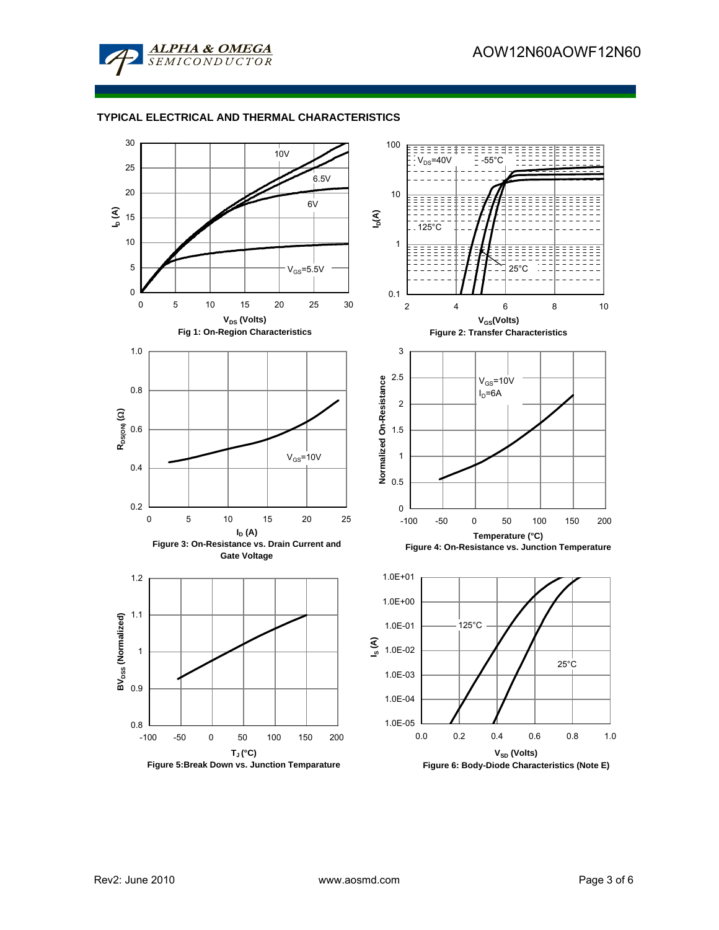

### **TYPICAL ELECTRICAL AND THERMAL CHARACTERISTICS**

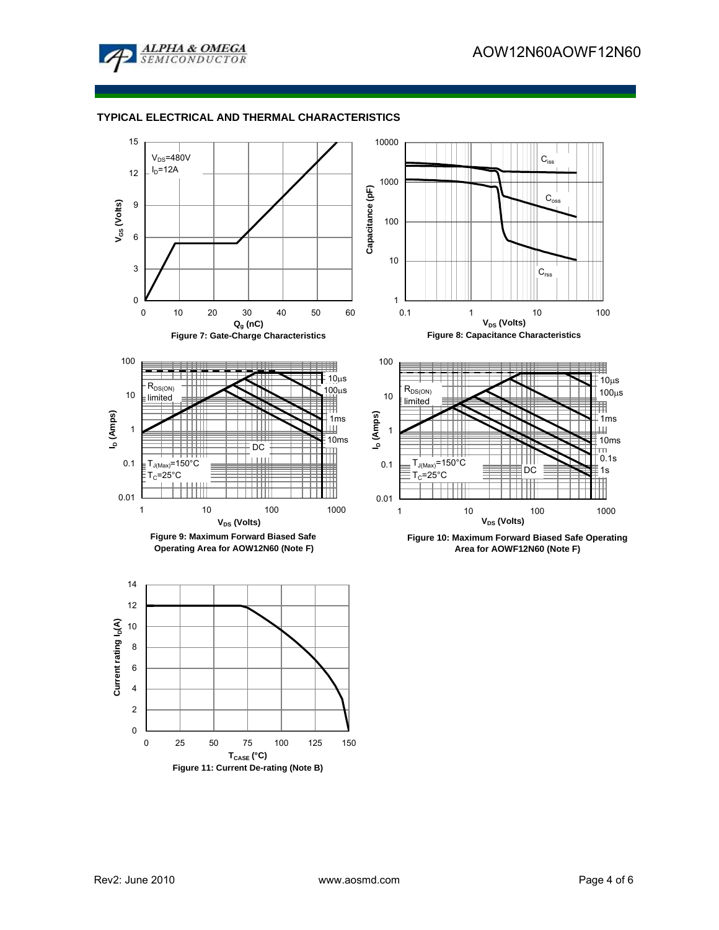

# **TYPICAL ELECTRICAL AND THERMAL CHARACTERISTICS**

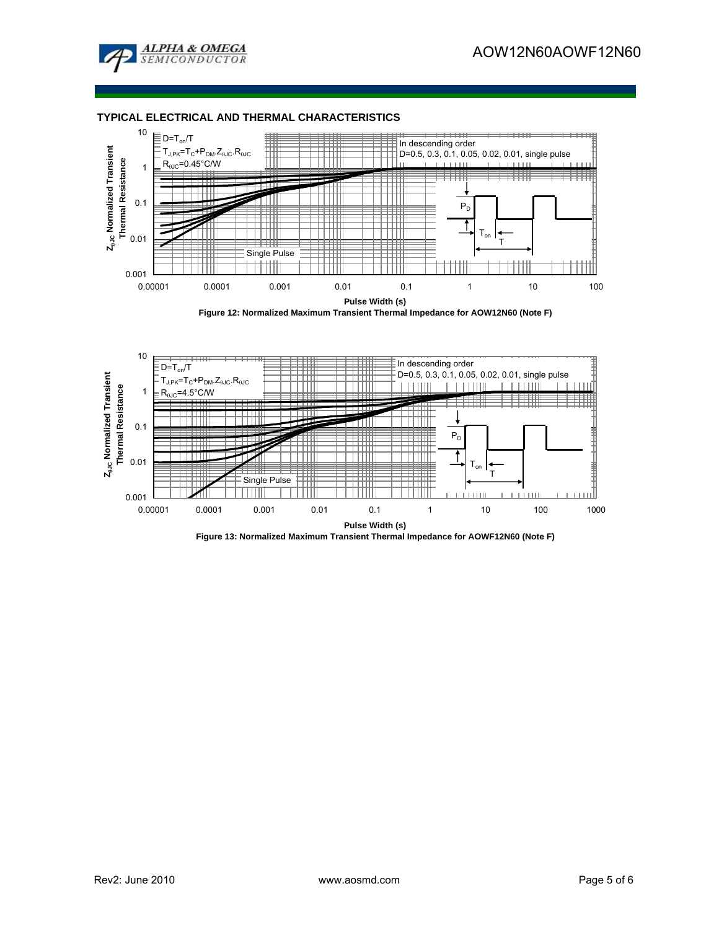

### **TYPICAL ELECTRICAL AND THERMAL CHARACTERISTICS**



**Figure 12: Normalized Maximum Transient Thermal Impedance for AOW12N60 (Note F)**



**Figure 13: Normalized Maximum Transient Thermal Impedance for AOWF12N60 (Note F)**